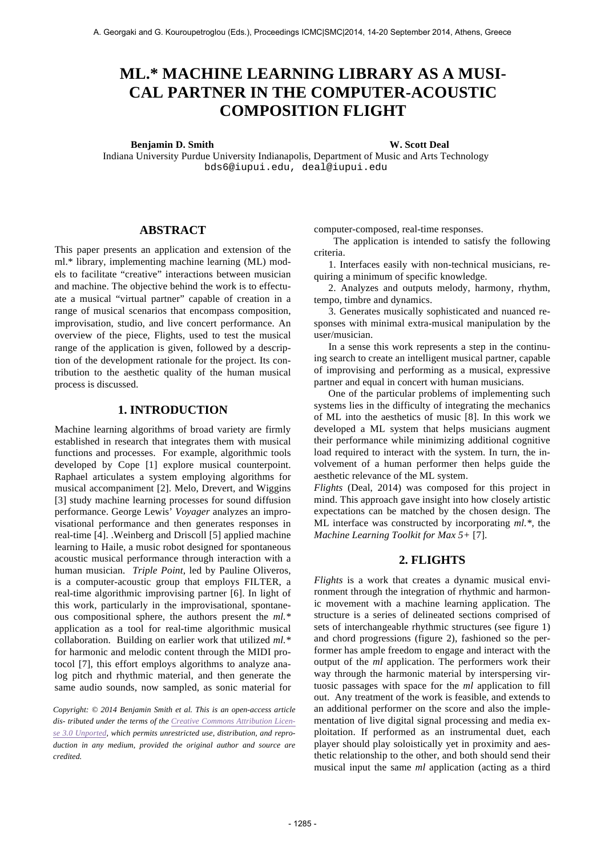# **ML.\* MACHINE LEARNING LIBRARY AS A MUSI-CAL PARTNER IN THE COMPUTER-ACOUSTIC COMPOSITION FLIGHT**

#### **Benjamin D. Smith W. Scott Deal**

Indiana University Purdue University Indianapolis, Department of Music and Arts Technology bds6@iupui.edu, deal@iupui.edu

## **ABSTRACT**

This paper presents an application and extension of the ml.\* library, implementing machine learning (ML) models to facilitate "creative" interactions between musician and machine. The objective behind the work is to effectuate a musical "virtual partner" capable of creation in a range of musical scenarios that encompass composition, improvisation, studio, and live concert performance. An overview of the piece, Flights, used to test the musical range of the application is given, followed by a description of the development rationale for the project. Its contribution to the aesthetic quality of the human musical process is discussed.

# **1. INTRODUCTION**

Machine learning algorithms of broad variety are firmly established in research that integrates them with musical functions and processes. For example, algorithmic tools developed by Cope [1] explore musical counterpoint. Raphael articulates a system employing algorithms for musical accompaniment [2]. Melo, Drevert, and Wiggins [3] study machine learning processes for sound diffusion performance. George Lewis' *Voyager* analyzes an improvisational performance and then generates responses in real-time [4]. .Weinberg and Driscoll [5] applied machine learning to Haile, a music robot designed for spontaneous acoustic musical performance through interaction with a human musician. *Triple Point*, led by Pauline Oliveros, is a computer-acoustic group that employs FILTER, a real-time algorithmic improvising partner [6]. In light of this work, particularly in the improvisational, spontaneous compositional sphere, the authors present the *ml.\**  application as a tool for real-time algorithmic musical collaboration. Building on earlier work that utilized *ml.\** for harmonic and melodic content through the MIDI protocol [7], this effort employs algorithms to analyze analog pitch and rhythmic material, and then generate the same audio sounds, now sampled, as sonic material for

*Copyright: © 2014 Benjamin Smith et al. This is an open-access article dis- tributed under the terms of the Creative Commons Attribution License 3.0 Unported, which permits unrestricted use, distribution, and reproduction in any medium, provided the original author and source are credited.*

computer-composed, real-time responses.

 The application is intended to satisfy the following criteria.

1. Interfaces easily with non-technical musicians, requiring a minimum of specific knowledge.

2. Analyzes and outputs melody, harmony, rhythm, tempo, timbre and dynamics.

3. Generates musically sophisticated and nuanced responses with minimal extra-musical manipulation by the user/musician.

In a sense this work represents a step in the continuing search to create an intelligent musical partner, capable of improvising and performing as a musical, expressive partner and equal in concert with human musicians.

One of the particular problems of implementing such systems lies in the difficulty of integrating the mechanics of ML into the aesthetics of music [8]. In this work we developed a ML system that helps musicians augment their performance while minimizing additional cognitive load required to interact with the system. In turn, the involvement of a human performer then helps guide the aesthetic relevance of the ML system.

*Flights* (Deal, 2014) was composed for this project in mind. This approach gave insight into how closely artistic expectations can be matched by the chosen design. The ML interface was constructed by incorporating *ml.\*,* the *Machine Learning Toolkit for Max 5+* [7].

### **2. FLIGHTS**

*Flights* is a work that creates a dynamic musical environment through the integration of rhythmic and harmonic movement with a machine learning application. The structure is a series of delineated sections comprised of sets of interchangeable rhythmic structures (see figure 1) and chord progressions (figure 2), fashioned so the performer has ample freedom to engage and interact with the output of the *ml* application. The performers work their way through the harmonic material by interspersing virtuosic passages with space for the *ml* application to fill out. Any treatment of the work is feasible, and extends to an additional performer on the score and also the implementation of live digital signal processing and media exploitation. If performed as an instrumental duet, each player should play soloistically yet in proximity and aesthetic relationship to the other, and both should send their musical input the same *ml* application (acting as a third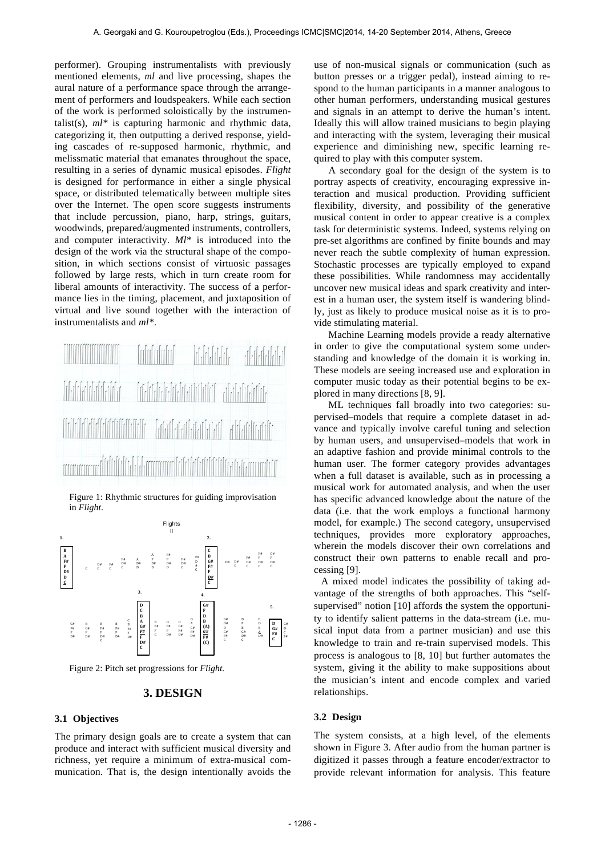performer). Grouping instrumentalists with previously mentioned elements, *ml* and live processing, shapes the aural nature of a performance space through the arrangement of performers and loudspeakers. While each section of the work is performed soloistically by the instrumentalist(s), *ml\** is capturing harmonic and rhythmic data, categorizing it, then outputting a derived response, yielding cascades of re-supposed harmonic, rhythmic, and melissmatic material that emanates throughout the space, resulting in a series of dynamic musical episodes. *Flight* is designed for performance in either a single physical space, or distributed telematically between multiple sites over the Internet. The open score suggests instruments that include percussion, piano, harp, strings, guitars, woodwinds, prepared/augmented instruments, controllers, and computer interactivity. *Ml\** is introduced into the design of the work via the structural shape of the composition, in which sections consist of virtuosic passages followed by large rests, which in turn create room for liberal amounts of interactivity. The success of a performance lies in the timing, placement, and juxtaposition of virtual and live sound together with the interaction of instrumentalists and *ml\**.

| filmlərinin filmlərinin alandır. |  |  |
|----------------------------------|--|--|
|                                  |  |  |
|                                  |  |  |

Figure 1: Rhythmic structures for guiding improvisation in *Flight*.



Figure 2: Pitch set progressions for *Flight.*

#### **3. DESIGN**

#### **3.1 Objectives**

The primary design goals are to create a system that can produce and interact with sufficient musical diversity and richness, yet require a minimum of extra-musical communication. That is, the design intentionally avoids the use of non-musical signals or communication (such as button presses or a trigger pedal), instead aiming to respond to the human participants in a manner analogous to other human performers, understanding musical gestures and signals in an attempt to derive the human's intent. Ideally this will allow trained musicians to begin playing and interacting with the system, leveraging their musical experience and diminishing new, specific learning required to play with this computer system.

A secondary goal for the design of the system is to portray aspects of creativity, encouraging expressive interaction and musical production. Providing sufficient flexibility, diversity, and possibility of the generative musical content in order to appear creative is a complex task for deterministic systems. Indeed, systems relying on pre-set algorithms are confined by finite bounds and may never reach the subtle complexity of human expression. Stochastic processes are typically employed to expand these possibilities. While randomness may accidentally uncover new musical ideas and spark creativity and interest in a human user, the system itself is wandering blindly, just as likely to produce musical noise as it is to provide stimulating material.

Machine Learning models provide a ready alternative in order to give the computational system some understanding and knowledge of the domain it is working in. These models are seeing increased use and exploration in computer music today as their potential begins to be explored in many directions [8, 9].

ML techniques fall broadly into two categories: supervised–models that require a complete dataset in advance and typically involve careful tuning and selection by human users, and unsupervised–models that work in an adaptive fashion and provide minimal controls to the human user. The former category provides advantages when a full dataset is available, such as in processing a musical work for automated analysis, and when the user has specific advanced knowledge about the nature of the data (i.e. that the work employs a functional harmony model, for example.) The second category, unsupervised techniques, provides more exploratory approaches, wherein the models discover their own correlations and construct their own patterns to enable recall and processing [9].

A mixed model indicates the possibility of taking advantage of the strengths of both approaches. This "selfsupervised" notion [10] affords the system the opportunity to identify salient patterns in the data-stream (i.e. musical input data from a partner musician) and use this knowledge to train and re-train supervised models. This process is analogous to [8, 10] but further automates the system, giving it the ability to make suppositions about the musician's intent and encode complex and varied relationships.

#### **3.2 Design**

The system consists, at a high level, of the elements shown in Figure 3. After audio from the human partner is digitized it passes through a feature encoder/extractor to provide relevant information for analysis. This feature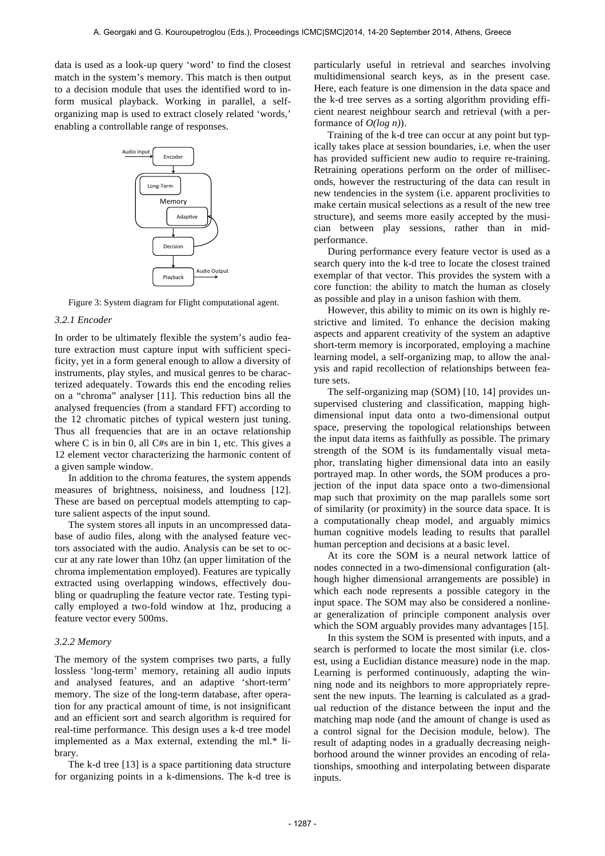data is used as a look-up query 'word' to find the closest match in the system's memory. This match is then output to a decision module that uses the identified word to inform musical playback. Working in parallel, a selforganizing map is used to extract closely related 'words,' enabling a controllable range of responses.



Figure 3: System diagram for Flight computational agent.

#### *3.2.1 Encoder*

In order to be ultimately flexible the system's audio feature extraction must capture input with sufficient specificity, yet in a form general enough to allow a diversity of instruments, play styles, and musical genres to be characterized adequately. Towards this end the encoding relies on a "chroma" analyser [11]. This reduction bins all the analysed frequencies (from a standard FFT) according to the 12 chromatic pitches of typical western just tuning. Thus all frequencies that are in an octave relationship where C is in bin 0, all C#s are in bin 1, etc. This gives a 12 element vector characterizing the harmonic content of a given sample window.

In addition to the chroma features, the system appends measures of brightness, noisiness, and loudness [12]. These are based on perceptual models attempting to capture salient aspects of the input sound.

The system stores all inputs in an uncompressed database of audio files, along with the analysed feature vectors associated with the audio. Analysis can be set to occur at any rate lower than 10hz (an upper limitation of the chroma implementation employed). Features are typically extracted using overlapping windows, effectively doubling or quadrupling the feature vector rate. Testing typically employed a two-fold window at 1hz, producing a feature vector every 500ms.

#### *3.2.2 Memory*

The memory of the system comprises two parts, a fully lossless 'long-term' memory, retaining all audio inputs and analysed features, and an adaptive 'short-term' memory. The size of the long-term database, after operation for any practical amount of time, is not insignificant and an efficient sort and search algorithm is required for real-time performance. This design uses a k-d tree model implemented as a Max external, extending the ml.\* library.

The k-d tree [13] is a space partitioning data structure for organizing points in a k-dimensions. The k-d tree is particularly useful in retrieval and searches involving multidimensional search keys, as in the present case. Here, each feature is one dimension in the data space and the k-d tree serves as a sorting algorithm providing efficient nearest neighbour search and retrieval (with a performance of *O(log n)*).

Training of the k-d tree can occur at any point but typically takes place at session boundaries, i.e. when the user has provided sufficient new audio to require re-training. Retraining operations perform on the order of milliseconds, however the restructuring of the data can result in new tendencies in the system (i.e. apparent proclivities to make certain musical selections as a result of the new tree structure), and seems more easily accepted by the musician between play sessions, rather than in midperformance.

During performance every feature vector is used as a search query into the k-d tree to locate the closest trained exemplar of that vector. This provides the system with a core function: the ability to match the human as closely as possible and play in a unison fashion with them.

However, this ability to mimic on its own is highly restrictive and limited. To enhance the decision making aspects and apparent creativity of the system an adaptive short-term memory is incorporated, employing a machine learning model, a self-organizing map, to allow the analysis and rapid recollection of relationships between feature sets.

The self-organizing map (SOM) [10, 14] provides unsupervised clustering and classification, mapping highdimensional input data onto a two-dimensional output space, preserving the topological relationships between the input data items as faithfully as possible. The primary strength of the SOM is its fundamentally visual metaphor, translating higher dimensional data into an easily portrayed map. In other words, the SOM produces a projection of the input data space onto a two-dimensional map such that proximity on the map parallels some sort of similarity (or proximity) in the source data space. It is a computationally cheap model, and arguably mimics human cognitive models leading to results that parallel human perception and decisions at a basic level.

At its core the SOM is a neural network lattice of nodes connected in a two-dimensional configuration (although higher dimensional arrangements are possible) in which each node represents a possible category in the input space. The SOM may also be considered a nonlinear generalization of principle component analysis over which the SOM arguably provides many advantages [15].

In this system the SOM is presented with inputs, and a search is performed to locate the most similar (i.e. closest, using a Euclidian distance measure) node in the map. Learning is performed continuously, adapting the winning node and its neighbors to more appropriately represent the new inputs. The learning is calculated as a gradual reduction of the distance between the input and the matching map node (and the amount of change is used as a control signal for the Decision module, below). The result of adapting nodes in a gradually decreasing neighborhood around the winner provides an encoding of relationships, smoothing and interpolating between disparate inputs.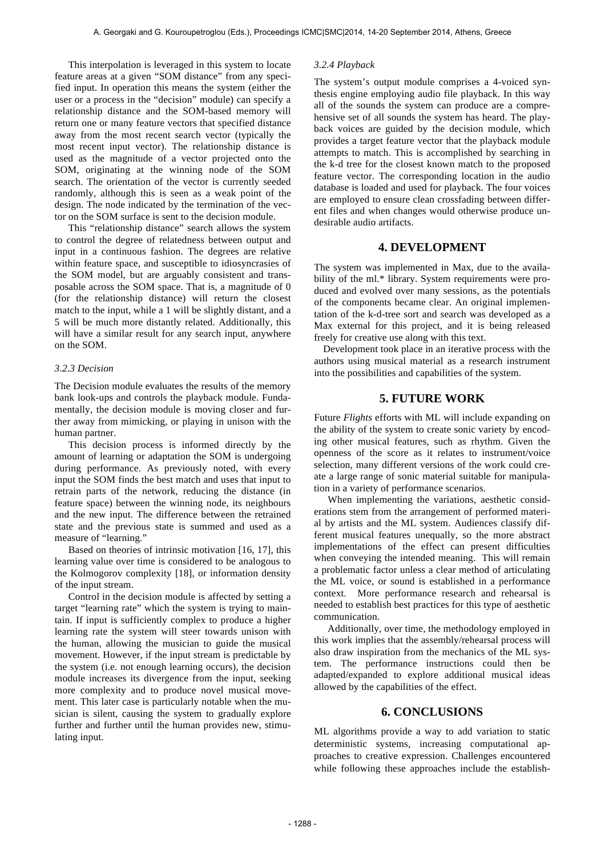This interpolation is leveraged in this system to locate feature areas at a given "SOM distance" from any specified input. In operation this means the system (either the user or a process in the "decision" module) can specify a relationship distance and the SOM-based memory will return one or many feature vectors that specified distance away from the most recent search vector (typically the most recent input vector). The relationship distance is used as the magnitude of a vector projected onto the SOM, originating at the winning node of the SOM search. The orientation of the vector is currently seeded randomly, although this is seen as a weak point of the design. The node indicated by the termination of the vector on the SOM surface is sent to the decision module.

This "relationship distance" search allows the system to control the degree of relatedness between output and input in a continuous fashion. The degrees are relative within feature space, and susceptible to idiosyncrasies of the SOM model, but are arguably consistent and transposable across the SOM space. That is, a magnitude of 0 (for the relationship distance) will return the closest match to the input, while a 1 will be slightly distant, and a 5 will be much more distantly related. Additionally, this will have a similar result for any search input, anywhere on the SOM.

#### *3.2.3 Decision*

The Decision module evaluates the results of the memory bank look-ups and controls the playback module. Fundamentally, the decision module is moving closer and further away from mimicking, or playing in unison with the human partner.

This decision process is informed directly by the amount of learning or adaptation the SOM is undergoing during performance. As previously noted, with every input the SOM finds the best match and uses that input to retrain parts of the network, reducing the distance (in feature space) between the winning node, its neighbours and the new input. The difference between the retrained state and the previous state is summed and used as a measure of "learning."

Based on theories of intrinsic motivation [16, 17], this learning value over time is considered to be analogous to the Kolmogorov complexity [18], or information density of the input stream.

Control in the decision module is affected by setting a target "learning rate" which the system is trying to maintain. If input is sufficiently complex to produce a higher learning rate the system will steer towards unison with the human, allowing the musician to guide the musical movement. However, if the input stream is predictable by the system (i.e. not enough learning occurs), the decision module increases its divergence from the input, seeking more complexity and to produce novel musical movement. This later case is particularly notable when the musician is silent, causing the system to gradually explore further and further until the human provides new, stimulating input.

#### *3.2.4 Playback*

The system's output module comprises a 4-voiced synthesis engine employing audio file playback. In this way all of the sounds the system can produce are a comprehensive set of all sounds the system has heard. The playback voices are guided by the decision module, which provides a target feature vector that the playback module attempts to match. This is accomplished by searching in the k-d tree for the closest known match to the proposed feature vector. The corresponding location in the audio database is loaded and used for playback. The four voices are employed to ensure clean crossfading between different files and when changes would otherwise produce undesirable audio artifacts.

# **4. DEVELOPMENT**

The system was implemented in Max, due to the availability of the ml.\* library. System requirements were produced and evolved over many sessions, as the potentials of the components became clear. An original implementation of the k-d-tree sort and search was developed as a Max external for this project, and it is being released freely for creative use along with this text.

Development took place in an iterative process with the authors using musical material as a research instrument into the possibilities and capabilities of the system.

# **5. FUTURE WORK**

Future *Flights* efforts with ML will include expanding on the ability of the system to create sonic variety by encoding other musical features, such as rhythm. Given the openness of the score as it relates to instrument/voice selection, many different versions of the work could create a large range of sonic material suitable for manipulation in a variety of performance scenarios.

When implementing the variations, aesthetic considerations stem from the arrangement of performed material by artists and the ML system. Audiences classify different musical features unequally, so the more abstract implementations of the effect can present difficulties when conveying the intended meaning. This will remain a problematic factor unless a clear method of articulating the ML voice, or sound is established in a performance context. More performance research and rehearsal is needed to establish best practices for this type of aesthetic communication.

Additionally, over time, the methodology employed in this work implies that the assembly/rehearsal process will also draw inspiration from the mechanics of the ML system. The performance instructions could then be adapted/expanded to explore additional musical ideas allowed by the capabilities of the effect.

## **6. CONCLUSIONS**

ML algorithms provide a way to add variation to static deterministic systems, increasing computational approaches to creative expression. Challenges encountered while following these approaches include the establish